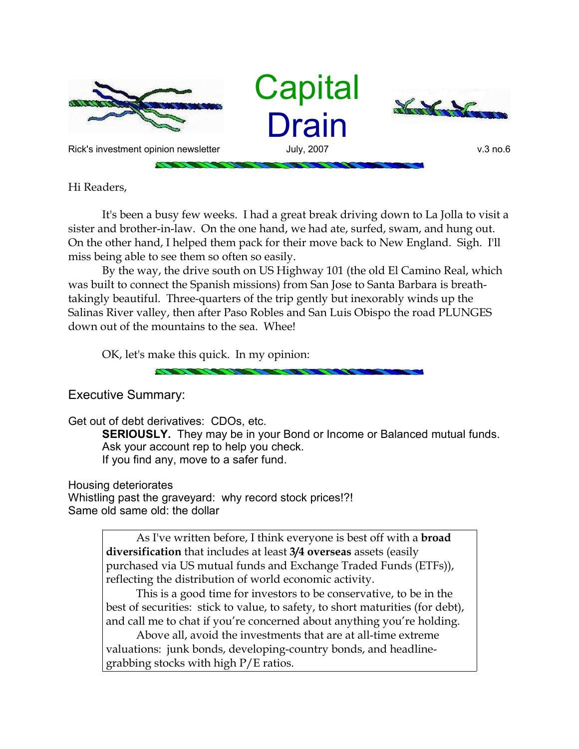

Hi Readers,

It's been a busy few weeks. I had a great break driving down to La Jolla to visit a sister and brother-in-law. On the one hand, we had ate, surfed, swam, and hung out. On the other hand, I helped them pack for their move back to New England. Sigh. I'll miss being able to see them so often so easily.

By the way, the drive south on US Highway 101 (the old El Camino Real, which was built to connect the Spanish missions) from San Jose to Santa Barbara is breathtakingly beautiful. Three-quarters of the trip gently but inexorably winds up the Salinas River valley, then after Paso Robles and San Luis Obispo the road PLUNGES down out of the mountains to the sea. Whee!

OK, let's make this quick. In my opinion:

Executive Summary:

Get out of debt derivatives: CDOs, etc.

**SERIOUSLY.** They may be in your Bond or Income or Balanced mutual funds. Ask your account rep to help you check. If you find any, move to a safer fund.

Housing deteriorates

Whistling past the graveyard: why record stock prices!?! Same old same old: the dollar

> As I've written before, I think everyone is best off with a **broad diversification** that includes at least **3/4 overseas** assets (easily purchased via US mutual funds and Exchange Traded Funds (ETFs)), reflecting the distribution of world economic activity.

This is a good time for investors to be conservative, to be in the best of securities: stick to value, to safety, to short maturities (for debt), and call me to chat if you're concerned about anything you're holding.

Above all, avoid the investments that are at all-time extreme valuations: junk bonds, developing-country bonds, and headlinegrabbing stocks with high P/E ratios.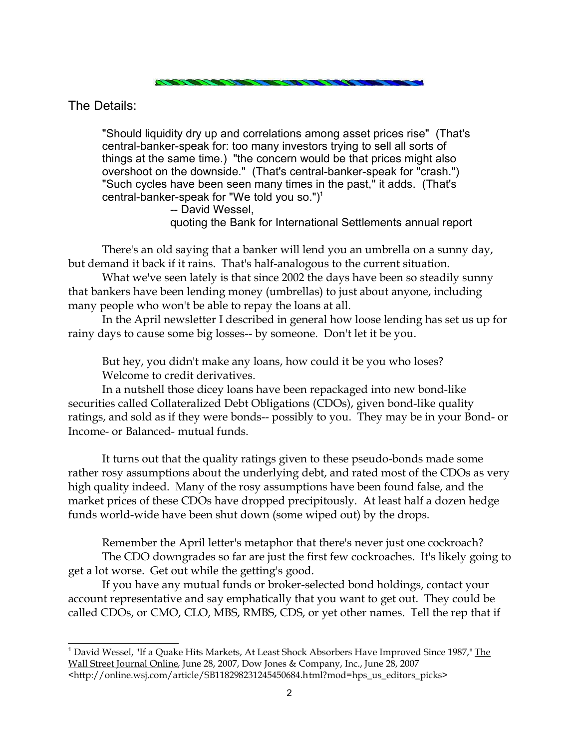The Details:

"Should liquidity dry up and correlations among asset prices rise" (That's central-banker-speak for: too many investors trying to sell all sorts of things at the same time.) "the concern would be that prices might also overshoot on the downside." (That's central-banker-speak for "crash.") "Such cycles have been seen many times in the past," it adds. (That's central-banker-speak for "We told you so.") $1$ 

-- David Wessel,

quoting the Bank for International Settlements annual report

There's an old saying that a banker will lend you an umbrella on a sunny day, but demand it back if it rains. That's half-analogous to the current situation.

What we've seen lately is that since 2002 the days have been so steadily sunny that bankers have been lending money (umbrellas) to just about anyone, including many people who won't be able to repay the loans at all.

In the April newsletter I described in general how loose lending has set us up for rainy days to cause some big losses-- by someone. Don't let it be you.

But hey, you didn't make any loans, how could it be you who loses? Welcome to credit derivatives.

In a nutshell those dicey loans have been repackaged into new bond-like securities called Collateralized Debt Obligations (CDOs), given bond-like quality ratings, and sold as if they were bonds-- possibly to you. They may be in your Bond- or Income- or Balanced- mutual funds.

It turns out that the quality ratings given to these pseudo-bonds made some rather rosy assumptions about the underlying debt, and rated most of the CDOs as very high quality indeed. Many of the rosy assumptions have been found false, and the market prices of these CDOs have dropped precipitously. At least half a dozen hedge funds world-wide have been shut down (some wiped out) by the drops.

Remember the April letter's metaphor that there's never just one cockroach? The CDO downgrades so far are just the first few cockroaches. It's likely going to get a lot worse. Get out while the getting's good.

If you have any mutual funds or broker-selected bond holdings, contact your account representative and say emphatically that you want to get out. They could be called CDOs, or CMO, CLO, MBS, RMBS, CDS, or yet other names. Tell the rep that if

<sup>&</sup>lt;sup>1</sup> David Wessel, "If a Quake Hits Markets, At Least Shock Absorbers Have Improved Since 1987," The Wall Street Journal Online, June 28, 2007, Dow Jones & Company, Inc., June 28, 2007 <http://online.wsj.com/article/SB118298231245450684.html?mod=hps\_us\_editors\_picks>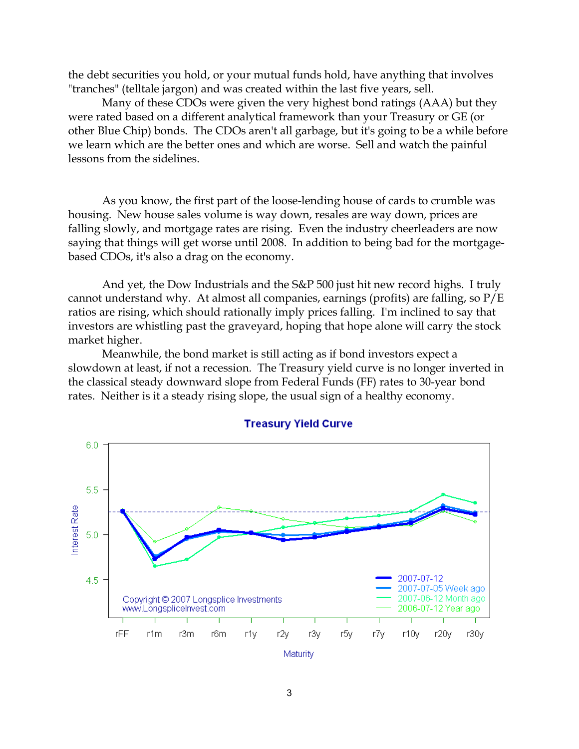the debt securities you hold, or your mutual funds hold, have anything that involves "tranches" (telltale jargon) and was created within the last five years, sell.

Many of these CDOs were given the very highest bond ratings (AAA) but they were rated based on a different analytical framework than your Treasury or GE (or other Blue Chip) bonds. The CDOs aren't all garbage, but it's going to be a while before we learn which are the better ones and which are worse. Sell and watch the painful lessons from the sidelines.

As you know, the first part of the loose-lending house of cards to crumble was housing. New house sales volume is way down, resales are way down, prices are falling slowly, and mortgage rates are rising. Even the industry cheerleaders are now saying that things will get worse until 2008. In addition to being bad for the mortgagebased CDOs, it's also a drag on the economy.

And yet, the Dow Industrials and the S&P 500 just hit new record highs. I truly cannot understand why. At almost all companies, earnings (profits) are falling, so P/E ratios are rising, which should rationally imply prices falling. I'm inclined to say that investors are whistling past the graveyard, hoping that hope alone will carry the stock market higher.

Meanwhile, the bond market is still acting as if bond investors expect a slowdown at least, if not a recession. The Treasury yield curve is no longer inverted in the classical steady downward slope from Federal Funds (FF) rates to 30-year bond rates. Neither is it a steady rising slope, the usual sign of a healthy economy.



## **Treasury Yield Curve**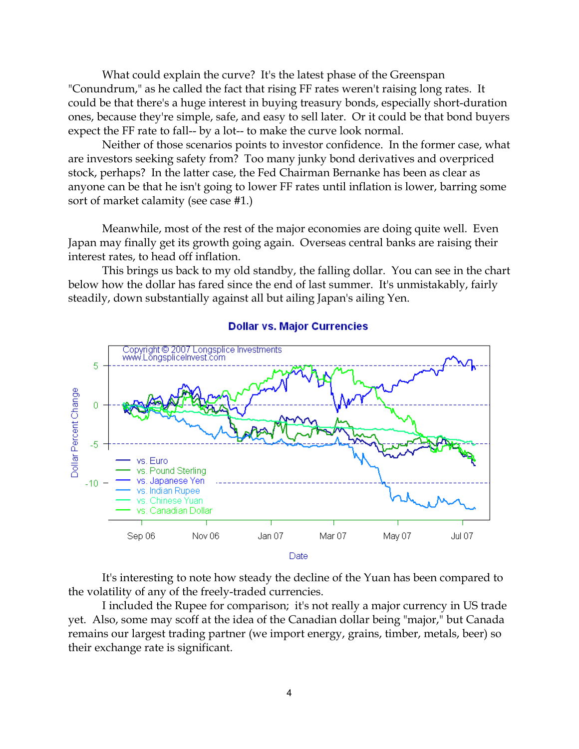What could explain the curve? It's the latest phase of the Greenspan "Conundrum," as he called the fact that rising FF rates weren't raising long rates. It could be that there's a huge interest in buying treasury bonds, especially short-duration ones, because they're simple, safe, and easy to sell later. Or it could be that bond buyers expect the FF rate to fall-- by a lot-- to make the curve look normal.

Neither of those scenarios points to investor confidence. In the former case, what are investors seeking safety from? Too many junky bond derivatives and overpriced stock, perhaps? In the latter case, the Fed Chairman Bernanke has been as clear as anyone can be that he isn't going to lower FF rates until inflation is lower, barring some sort of market calamity (see case #1.)

Meanwhile, most of the rest of the major economies are doing quite well. Even Japan may finally get its growth going again. Overseas central banks are raising their interest rates, to head off inflation.

This brings us back to my old standby, the falling dollar. You can see in the chart below how the dollar has fared since the end of last summer. It's unmistakably, fairly steadily, down substantially against all but ailing Japan's ailing Yen.



**Dollar vs. Major Currencies** 

It's interesting to note how steady the decline of the Yuan has been compared to the volatility of any of the freely-traded currencies.

I included the Rupee for comparison; it's not really a major currency in US trade yet. Also, some may scoff at the idea of the Canadian dollar being "major," but Canada remains our largest trading partner (we import energy, grains, timber, metals, beer) so their exchange rate is significant.